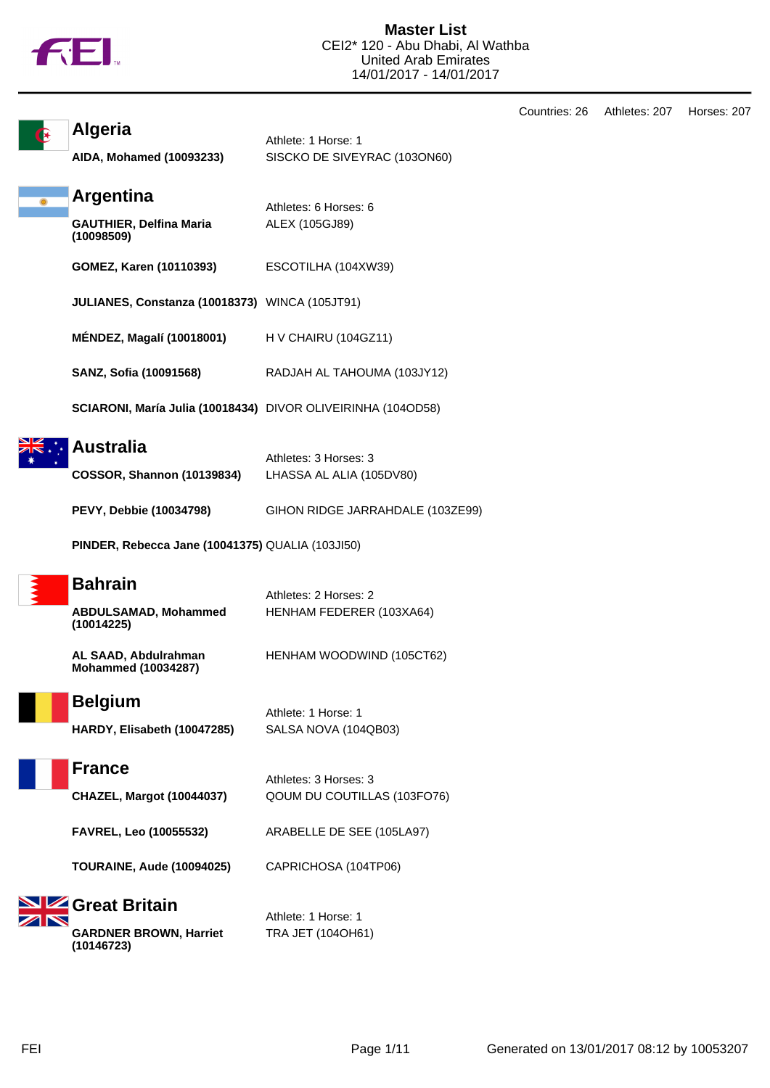

**Algeria**

| AIDA, Mohamed (10093233)                     | SISCKO DE SIVEYRAC (1030N60) |
|----------------------------------------------|------------------------------|
| Argentina                                    | Athletes: 6 Horses: 6        |
| <b>GAUTHIER, Delfina Maria</b><br>(10098509) | ALEX (105GJ89)               |
| <b>GOMEZ, Karen (10110393)</b>               | ESCOTILHA (104XW39)          |
|                                              |                              |

**JULIANES, Constanza (10018373)** WINCA (105JT91)

**MÉNDEZ, Magalí (10018001)** H V CHAIRU (104GZ11)

**SANZ, Sofia (10091568)** RADJAH AL TAHOUMA (103JY12)

Athlete: 1 Horse: 1

**SCIARONI, María Julia (10018434)** DIVOR OLIVEIRINHA (104OD58)

## **Australia**

| I Ausu ana                 | Athletes: 3 Horses: 3    |
|----------------------------|--------------------------|
| COSSOR, Shannon (10139834) | LHASSA AL ALIA (105DV80) |
|                            |                          |

**PEVY, Debbie (10034798)** GIHON RIDGE JARRAHDALE (103ZE99)

**PINDER, Rebecca Jane (10041375)** QUALIA (103JI50)

| <b>Bahra</b> |
|--------------|
|--------------|

## **Bahrain**

| _______                                   | Athletes: 2 Horses: 2    |
|-------------------------------------------|--------------------------|
| <b>ABDULSAMAD, Mohammed</b><br>(10014225) | HENHAM FEDERER (103XA64) |

**AL SAAD, Abdulrahman Mohammed (10034287)** HENHAM WOODWIND (105CT62)



**Belgium** Athlete: 1 Horse: 1 **HARDY, Elisabeth (10047285)** SALSA NOVA (104QB03)

## **France**

Athletes: 3 Horses: 3 **CHAZEL, Margot (10044037)** QOUM DU COUTILLAS (103FO76)

**FAVREL, Leo (10055532)** ARABELLE DE SEE (105LA97)

**TOURAINE, Aude (10094025)** CAPRICHOSA (104TP06)

# **Great Britain**

**GARDNER BROWN, Harriet (10146723)**

Athlete: 1 Horse: 1 TRA JET (104OH61)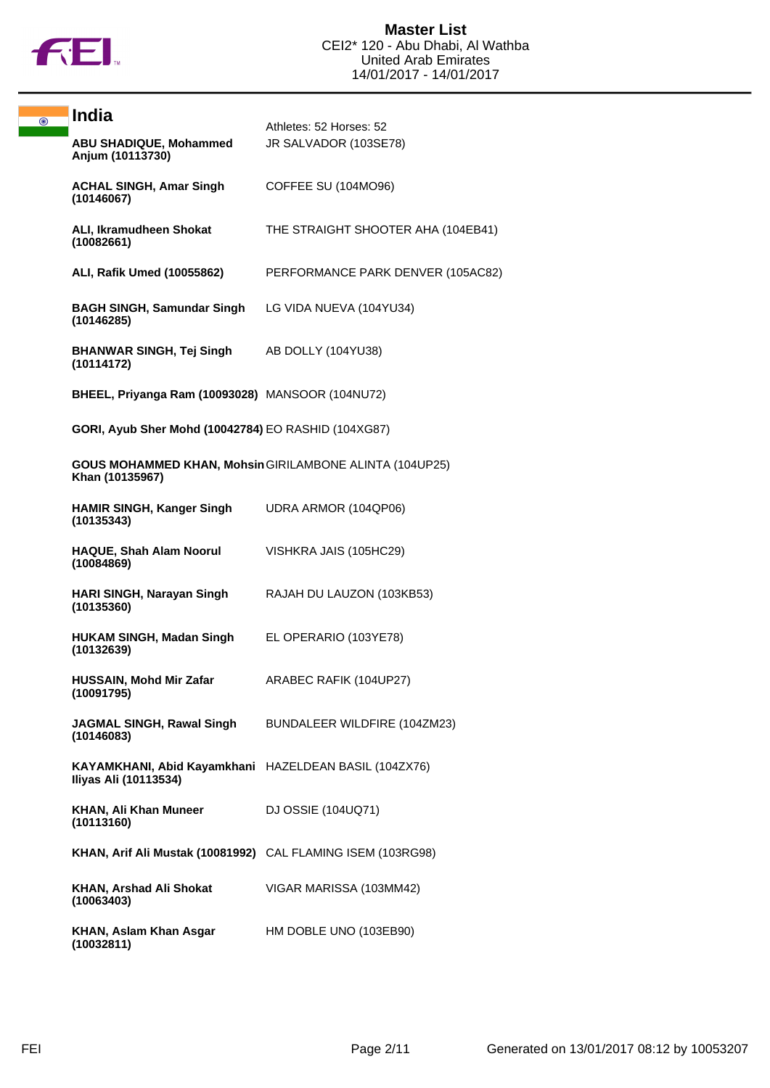

| $\odot$ | <b>India</b>                                                                      | Athletes: 52 Horses: 52            |
|---------|-----------------------------------------------------------------------------------|------------------------------------|
|         | <b>ABU SHADIQUE, Mohammed</b><br>Anjum (10113730)                                 | JR SALVADOR (103SE78)              |
|         | <b>ACHAL SINGH, Amar Singh</b><br>(10146067)                                      | COFFEE SU (104MO96)                |
|         | ALI, Ikramudheen Shokat<br>(10082661)                                             | THE STRAIGHT SHOOTER AHA (104EB41) |
|         | ALI, Rafik Umed (10055862)                                                        | PERFORMANCE PARK DENVER (105AC82)  |
|         | <b>BAGH SINGH, Samundar Singh</b><br>(10146285)                                   | LG VIDA NUEVA (104YU34)            |
|         | <b>BHANWAR SINGH, Tej Singh AB DOLLY (104YU38)</b><br>(10114172)                  |                                    |
|         | BHEEL, Priyanga Ram (10093028) MANSOOR (104NU72)                                  |                                    |
|         | GORI, Ayub Sher Mohd (10042784) EO RASHID (104XG87)                               |                                    |
|         | <b>GOUS MOHAMMED KHAN, Mohsin GIRILAMBONE ALINTA (104UP25)</b><br>Khan (10135967) |                                    |
|         | <b>HAMIR SINGH, Kanger Singh</b><br>(10135343)                                    | UDRA ARMOR (104QP06)               |
|         | <b>HAQUE, Shah Alam Noorul</b><br>(10084869)                                      | VISHKRA JAIS (105HC29)             |
|         | HARI SINGH, Narayan Singh<br>(10135360)                                           | RAJAH DU LAUZON (103KB53)          |
|         | <b>HUKAM SINGH, Madan Singh</b><br>(10132639)                                     | EL OPERARIO (103YE78)              |
|         | <b>HUSSAIN, Mohd Mir Zafar</b><br>(10091795)                                      | ARABEC RAFIK (104UP27)             |
|         | JAGMAL SINGH, Rawal Singh<br>(10146083)                                           | BUNDALEER WILDFIRE (104ZM23)       |
|         | KAYAMKHANI, Abid Kayamkhani HAZELDEAN BASIL (104ZX76)<br>Iliyas Ali (10113534)    |                                    |
|         | KHAN, Ali Khan Muneer<br>(10113160)                                               | DJ OSSIE (104UQ71)                 |
|         | KHAN, Arif Ali Mustak (10081992) CAL FLAMING ISEM (103RG98)                       |                                    |
|         | KHAN, Arshad Ali Shokat<br>(10063403)                                             | VIGAR MARISSA (103MM42)            |
|         | KHAN, Aslam Khan Asgar<br>(10032811)                                              | HM DOBLE UNO (103EB90)             |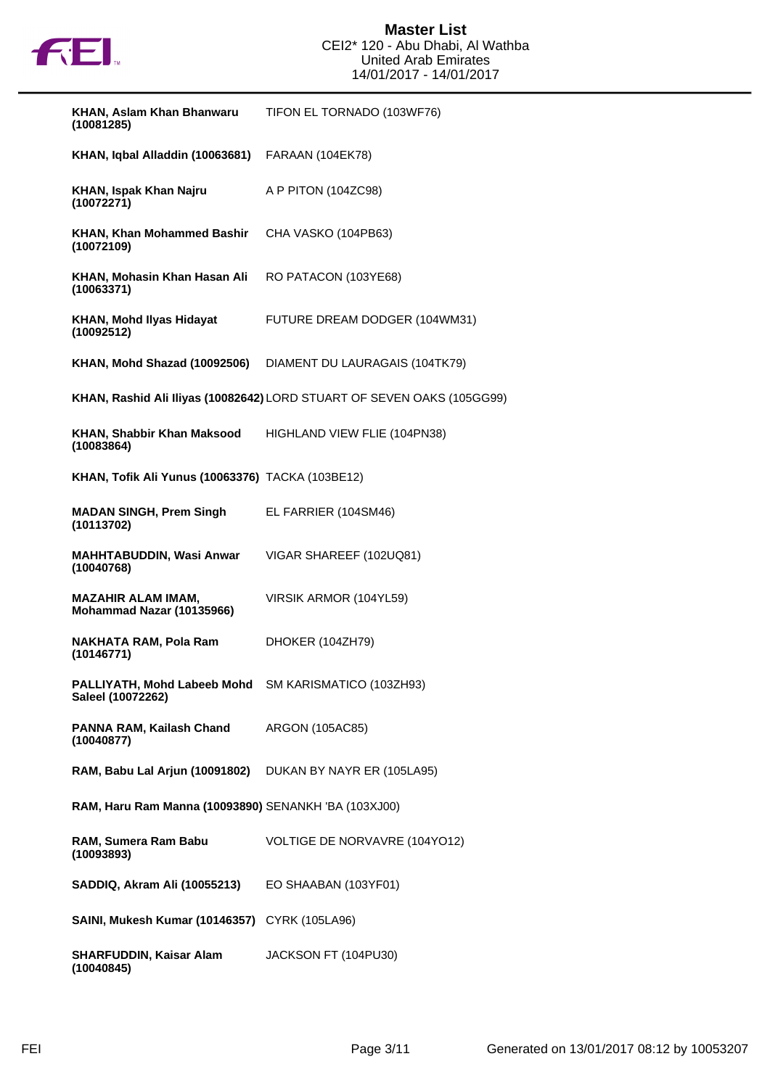

| KHAN, Aslam Khan Bhanwaru<br>(10081285)                                   | TIFON EL TORNADO (103WF76)                                             |
|---------------------------------------------------------------------------|------------------------------------------------------------------------|
| KHAN, Iqbal Alladdin (10063681)                                           | FARAAN (104EK78)                                                       |
| KHAN, Ispak Khan Najru<br>(10072271)                                      | A P PITON (104ZC98)                                                    |
| <b>KHAN, Khan Mohammed Bashir</b><br>(10072109)                           | CHA VASKO (104PB63)                                                    |
| KHAN, Mohasin Khan Hasan Ali<br>(10063371)                                | RO PATACON (103YE68)                                                   |
| KHAN, Mohd Ilyas Hidayat<br>(10092512)                                    | FUTURE DREAM DODGER (104WM31)                                          |
| KHAN, Mohd Shazad (10092506)                                              | DIAMENT DU LAURAGAIS (104TK79)                                         |
|                                                                           | KHAN, Rashid Ali Iliyas (10082642) LORD STUART OF SEVEN OAKS (105GG99) |
| KHAN, Shabbir Khan Maksood<br>(10083864)                                  | HIGHLAND VIEW FLIE (104PN38)                                           |
| <b>KHAN, Tofik Ali Yunus (10063376)</b> TACKA (103BE12)                   |                                                                        |
| <b>MADAN SINGH, Prem Singh</b><br>(10113702)                              | EL FARRIER (104SM46)                                                   |
| <b>MAHHTABUDDIN, Wasi Anwar</b><br>(10040768)                             | VIGAR SHAREEF (102UQ81)                                                |
| <b>MAZAHIR ALAM IMAM,</b><br>Mohammad Nazar (10135966)                    | VIRSIK ARMOR (104YL59)                                                 |
| <b>NAKHATA RAM, Pola Ram</b><br>(10146771)                                | DHOKER (104ZH79)                                                       |
| PALLIYATH, Mohd Labeeb Mohd SM KARISMATICO (103ZH93)<br>Saleel (10072262) |                                                                        |
| PANNA RAM, Kailash Chand<br>(10040877)                                    | ARGON (105AC85)                                                        |
| RAM, Babu Lal Arjun (10091802) DUKAN BY NAYR ER (105LA95)                 |                                                                        |
| RAM, Haru Ram Manna (10093890) SENANKH 'BA (103XJ00)                      |                                                                        |
| RAM, Sumera Ram Babu<br>(10093893)                                        | VOLTIGE DE NORVAVRE (104YO12)                                          |
| SADDIQ, Akram Ali (10055213)                                              | EO SHAABAN (103YF01)                                                   |
| <b>SAINI, Mukesh Kumar (10146357)</b> CYRK (105LA96)                      |                                                                        |
| <b>SHARFUDDIN, Kaisar Alam</b><br>(10040845)                              | JACKSON FT (104PU30)                                                   |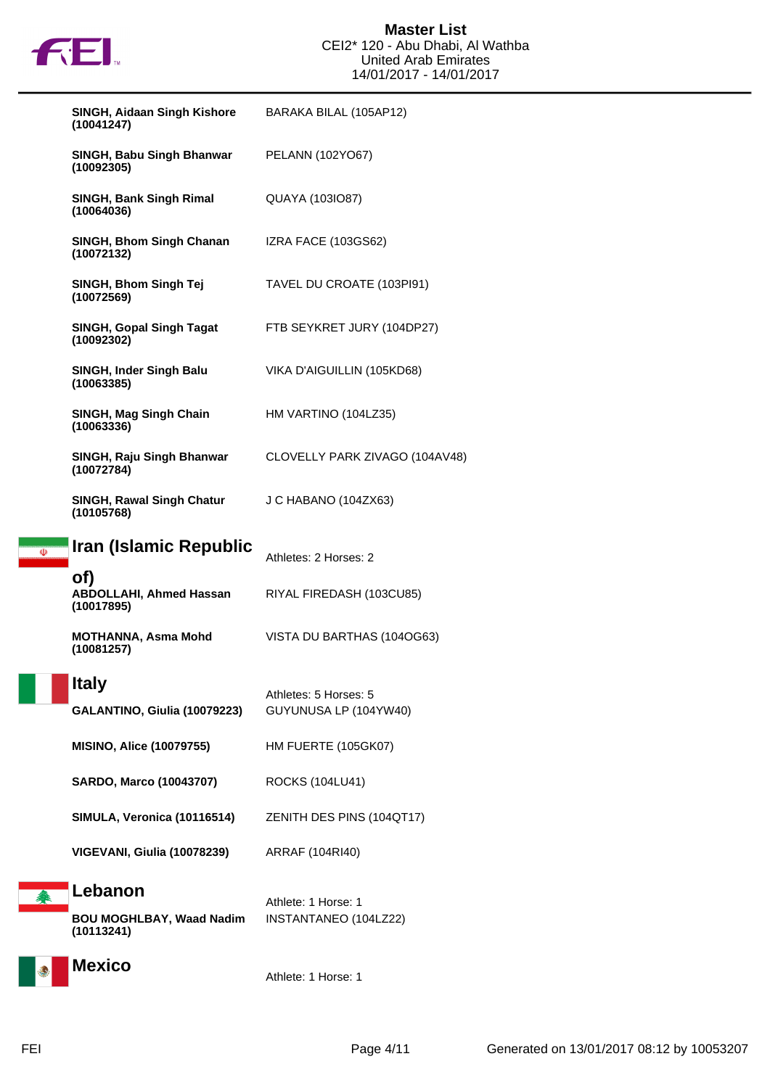

#### **Master List** CEI2\* 120 - Abu Dhabi, Al Wathba United Arab Emirates 14/01/2017 - 14/01/2017

|   | <b>SINGH, Aidaan Singh Kishore</b><br>(10041247)         | BARAKA BILAL (105AP12)                         |
|---|----------------------------------------------------------|------------------------------------------------|
|   | SINGH, Babu Singh Bhanwar<br>(10092305)                  | PELANN (102YO67)                               |
|   | SINGH, Bank Singh Rimal<br>(10064036)                    | QUAYA (1031087)                                |
|   | SINGH, Bhom Singh Chanan<br>(10072132)                   | IZRA FACE (103GS62)                            |
|   | SINGH, Bhom Singh Tej<br>(10072569)                      | TAVEL DU CROATE (103PI91)                      |
|   | <b>SINGH, Gopal Singh Tagat</b><br>(10092302)            | FTB SEYKRET JURY (104DP27)                     |
|   | SINGH, Inder Singh Balu<br>(10063385)                    | VIKA D'AIGUILLIN (105KD68)                     |
|   | SINGH, Mag Singh Chain<br>(10063336)                     | HM VARTINO (104LZ35)                           |
|   | SINGH, Raju Singh Bhanwar<br>(10072784)                  | CLOVELLY PARK ZIVAGO (104AV48)                 |
|   | <b>SINGH, Rawal Singh Chatur</b><br>(10105768)           | J C HABANO (104ZX63)                           |
| Ф | Iran (Islamic Republic                                   | Athletes: 2 Horses: 2                          |
|   | of)<br><b>ABDOLLAHI, Ahmed Hassan</b><br>(10017895)      | RIYAL FIREDASH (103CU85)                       |
|   | MOTHANNA, Asma Mohd<br>(10081257)                        | VISTA DU BARTHAS (104OG63)                     |
|   | <b>Italy</b><br>GALANTINO, Giulia (10079223)             | Athletes: 5 Horses: 5<br>GUYUNUSA LP (104YW40) |
|   | <b>MISINO, Alice (10079755)</b>                          | <b>HM FUERTE (105GK07)</b>                     |
|   | <b>SARDO, Marco (10043707)</b>                           | ROCKS (104LU41)                                |
|   | SIMULA, Veronica (10116514)                              | ZENITH DES PINS (104QT17)                      |
|   | VIGEVANI, Giulia (10078239)                              | ARRAF (104RI40)                                |
| 拳 | Lebanon<br><b>BOU MOGHLBAY, Waad Nadim</b><br>(10113241) | Athlete: 1 Horse: 1<br>INSTANTANEO (104LZ22)   |
|   | <b>Mexico</b>                                            | Athlete: 1 Horse: 1                            |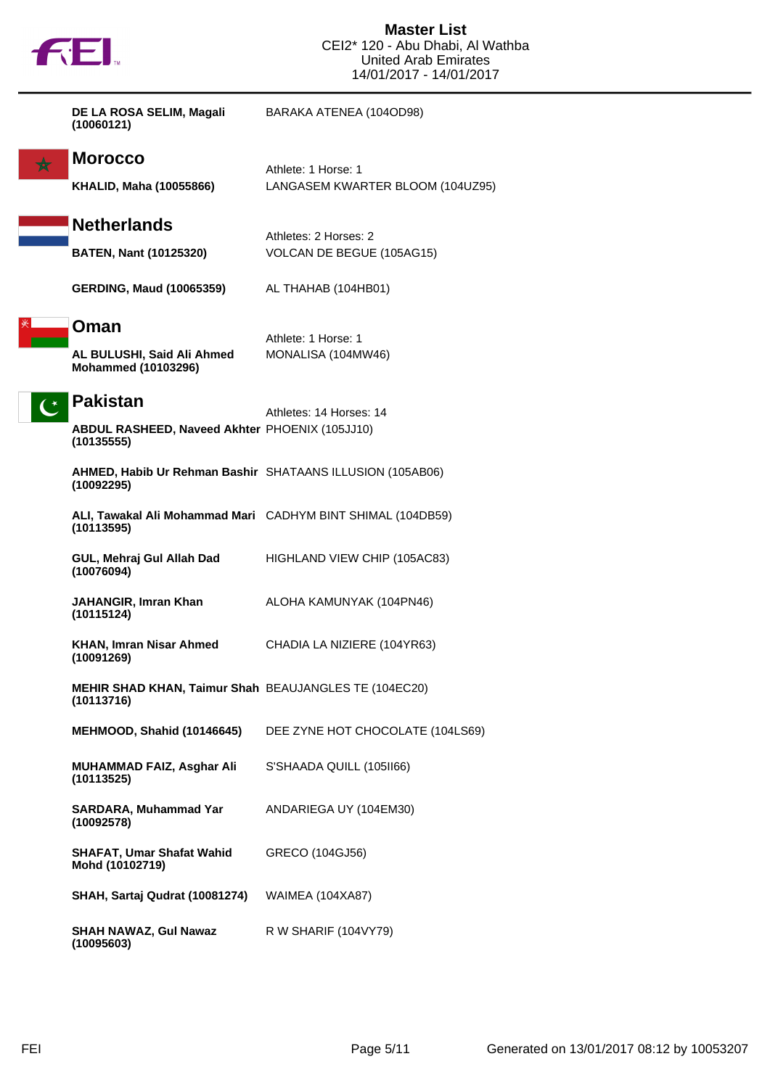| DE LA ROSA SELIM, Magali<br>(10060121)                                                 | BARAKA ATENEA (104OD98)                                 |
|----------------------------------------------------------------------------------------|---------------------------------------------------------|
| <b>Morocco</b><br><b>KHALID, Maha (10055866)</b>                                       | Athlete: 1 Horse: 1<br>LANGASEM KWARTER BLOOM (104UZ95) |
| <b>Netherlands</b><br><b>BATEN, Nant (10125320)</b>                                    | Athletes: 2 Horses: 2<br>VOLCAN DE BEGUE (105AG15)      |
| <b>GERDING, Maud (10065359)</b>                                                        | AL THAHAB (104HB01)                                     |
| Oman<br>AL BULUSHI, Said Ali Ahmed<br><b>Mohammed (10103296)</b>                       | Athlete: 1 Horse: 1<br>MONALISA (104MW46)               |
| <b>Pakistan</b><br><b>ABDUL RASHEED, Naveed Akhter PHOENIX (105JJ10)</b><br>(10135555) | Athletes: 14 Horses: 14                                 |
| AHMED, Habib Ur Rehman Bashir SHATAANS ILLUSION (105AB06)<br>(10092295)                |                                                         |
| ALI, Tawakal Ali Mohammad Mari CADHYM BINT SHIMAL (104DB59)<br>(10113595)              |                                                         |
| GUL, Mehraj Gul Allah Dad<br>(10076094)                                                | HIGHLAND VIEW CHIP (105AC83)                            |
| JAHANGIR, Imran Khan<br>(10115124)                                                     | ALOHA KAMUNYAK (104PN46)                                |
| KHAN, Imran Nisar Ahmed<br>(10091269)                                                  | CHADIA LA NIZIERE (104YR63)                             |
| <b>MEHIR SHAD KHAN, Taimur Shah BEAUJANGLES TE (104EC20)</b><br>(10113716)             |                                                         |
| MEHMOOD, Shahid (10146645)                                                             | DEE ZYNE HOT CHOCOLATE (104LS69)                        |
| MUHAMMAD FAIZ, Asghar Ali<br>(10113525)                                                | S'SHAADA QUILL (105II66)                                |
| SARDARA, Muhammad Yar<br>(10092578)                                                    | ANDARIEGA UY (104EM30)                                  |
| <b>SHAFAT, Umar Shafat Wahid</b><br>Mohd (10102719)                                    | GRECO (104GJ56)                                         |
| SHAH, Sartaj Qudrat (10081274)                                                         | <b>WAIMEA (104XA87)</b>                                 |
| <b>SHAH NAWAZ, Gul Nawaz</b><br>(10095603)                                             | R W SHARIF (104VY79)                                    |

**FEI**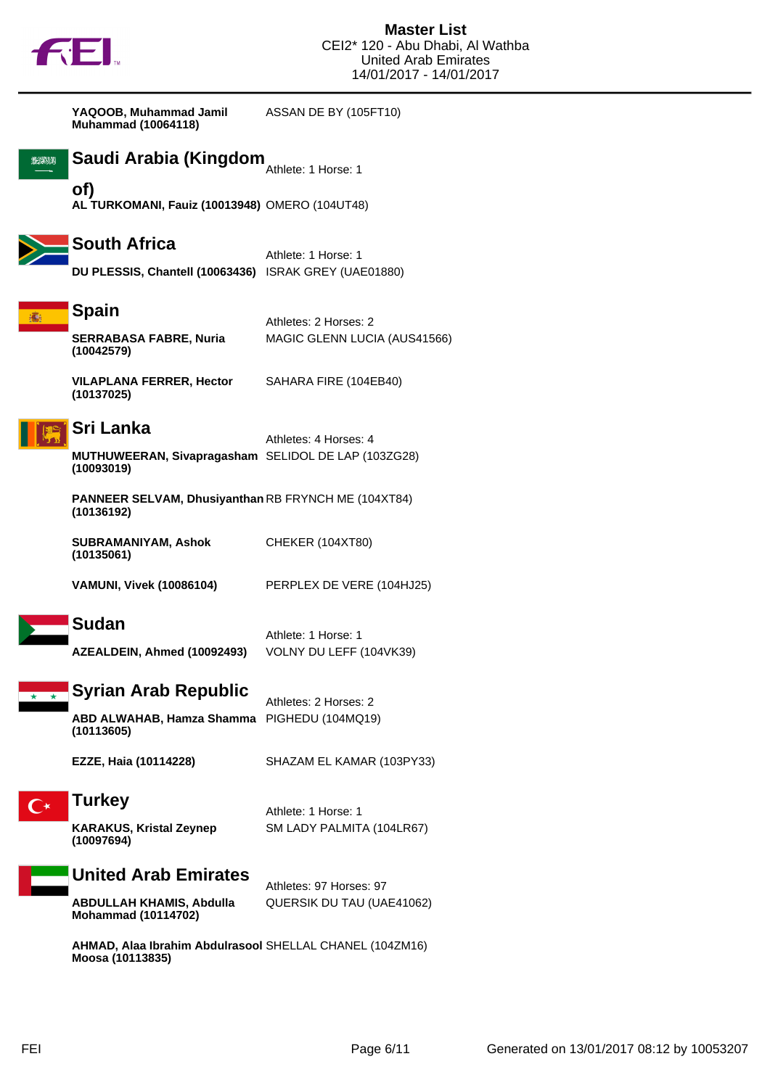

**YAQOOB, Muhammad Jamil Muhammad (10064118)** ASSAN DE BY (105FT10)

**BEENN** 

# **Saudi Arabia (Kingdom** $_{\textrm{Athlete: 1 Horse: 1}}$

**of) AL TURKOMANI, Fauiz (10013948)** OMERO (104UT48)



#### **South Africa**

Athlete: 1 Horse: 1 **DU PLESSIS, Chantell (10063436)** ISRAK GREY (UAE01880)



#### **Spain**

**SERRABASA FABRE, Nuria (10042579)**

MAGIC GLENN LUCIA (AUS41566)

SAHARA FIRE (104EB40)

Athletes: 2 Horses: 2

**VILAPLANA FERRER, Hector (10137025)**



#### **Sri Lanka**

Athletes: 4 Horses: 4 **MUTHUWEERAN, Sivapragasham** SELIDOL DE LAP (103ZG28) **(10093019)**

**PANNEER SELVAM, Dhusiyanthan** RB FRYNCH ME (104XT84) **(10136192)**

**SUBRAMANIYAM, Ashok (10135061)** CHEKER (104XT80)

**VAMUNI, Vivek (10086104)** PERPLEX DE VERE (104HJ25)

Athlete: 1 Horse: 1

#### **Sudan**

**AZEALDEIN, Ahmed (10092493)** VOLNY DU LEFF (104VK39)

**Syrian Arab Republic**

Athletes: 2 Horses: 2 **ABD ALWAHAB, Hamza Shamma (10113605)** PIGHEDU (104MQ19)

**EZZE, Haia (10114228)** SHAZAM EL KAMAR (103PY33)

## **Turkey**

**KARAKUS, Kristal Zeynep (10097694)**

Athlete: 1 Horse: 1 SM LADY PALMITA (104LR67)

## **United Arab Emirates**

Athletes: 97 Horses: 97 **ABDULLAH KHAMIS, Abdulla Mohammad (10114702)** QUERSIK DU TAU (UAE41062)

**AHMAD, Alaa Ibrahim Abdulrasool** SHELLAL CHANEL (104ZM16)**Moosa (10113835)**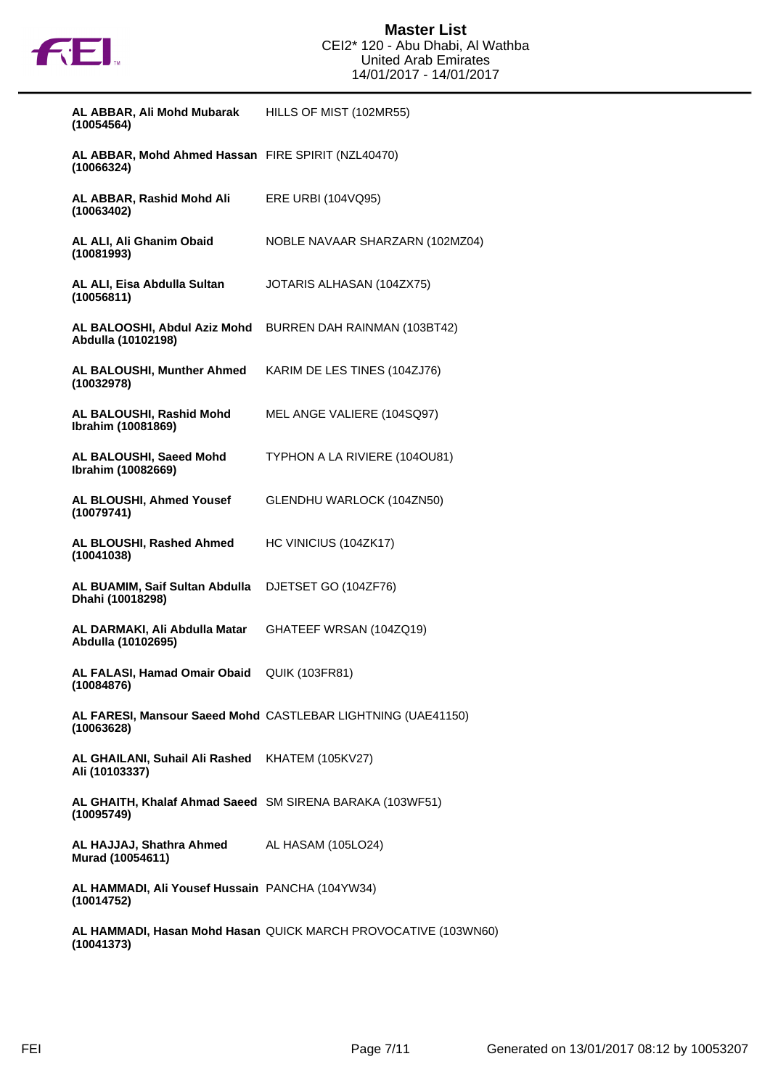

| AL ABBAR, Ali Mohd Mubarak<br>(10054564)                               | HILLS OF MIST (102MR55)                                        |
|------------------------------------------------------------------------|----------------------------------------------------------------|
| AL ABBAR, Mohd Ahmed Hassan FIRE SPIRIT (NZL40470)<br>(10066324)       |                                                                |
| AL ABBAR, Rashid Mohd Ali<br>(10063402)                                | ERE URBI (104VQ95)                                             |
| AL ALI, Ali Ghanim Obaid<br>(10081993)                                 | NOBLE NAVAAR SHARZARN (102MZ04)                                |
| AL ALI, Eisa Abdulla Sultan<br>(10056811)                              | JOTARIS ALHASAN (104ZX75)                                      |
| AL BALOOSHI, Abdul Aziz Mohd<br>Abdulla (10102198)                     | BURREN DAH RAINMAN (103BT42)                                   |
| AL BALOUSHI, Munther Ahmed<br>(10032978)                               | KARIM DE LES TINES (104ZJ76)                                   |
| AL BALOUSHI, Rashid Mohd<br>Ibrahim (10081869)                         | MEL ANGE VALIERE (104SQ97)                                     |
| AL BALOUSHI, Saeed Mohd<br>Ibrahim (10082669)                          | TYPHON A LA RIVIERE (1040U81)                                  |
| AL BLOUSHI, Ahmed Yousef<br>(10079741)                                 | GLENDHU WARLOCK (104ZN50)                                      |
| AL BLOUSHI, Rashed Ahmed<br>(10041038)                                 | HC VINICIUS (104ZK17)                                          |
| AL BUAMIM, Saif Sultan Abdulla<br>Dhahi (10018298)                     | DJETSET GO (104ZF76)                                           |
| AL DARMAKI, Ali Abdulla Matar<br>Abdulla (10102695)                    | GHATEEF WRSAN (104ZQ19)                                        |
| AL FALASI, Hamad Omair Obaid<br>(10084876)                             | <b>QUIK (103FR81)</b>                                          |
| (10063628)                                                             | AL FARESI, Mansour Saeed Mohd CASTLEBAR LIGHTNING (UAE41150)   |
| AL GHAILANI, Suhail Ali Rashed KHATEM (105KV27)<br>Ali (10103337)      |                                                                |
| AL GHAITH, Khalaf Ahmad Saeed SM SIRENA BARAKA (103WF51)<br>(10095749) |                                                                |
| AL HAJJAJ, Shathra Ahmed AL HASAM (105LO24)<br>Murad (10054611)        |                                                                |
| AL HAMMADI, Ali Yousef Hussain PANCHA (104YW34)<br>(10014752)          |                                                                |
| (10041373)                                                             | AL HAMMADI, Hasan Mohd Hasan QUICK MARCH PROVOCATIVE (103WN60) |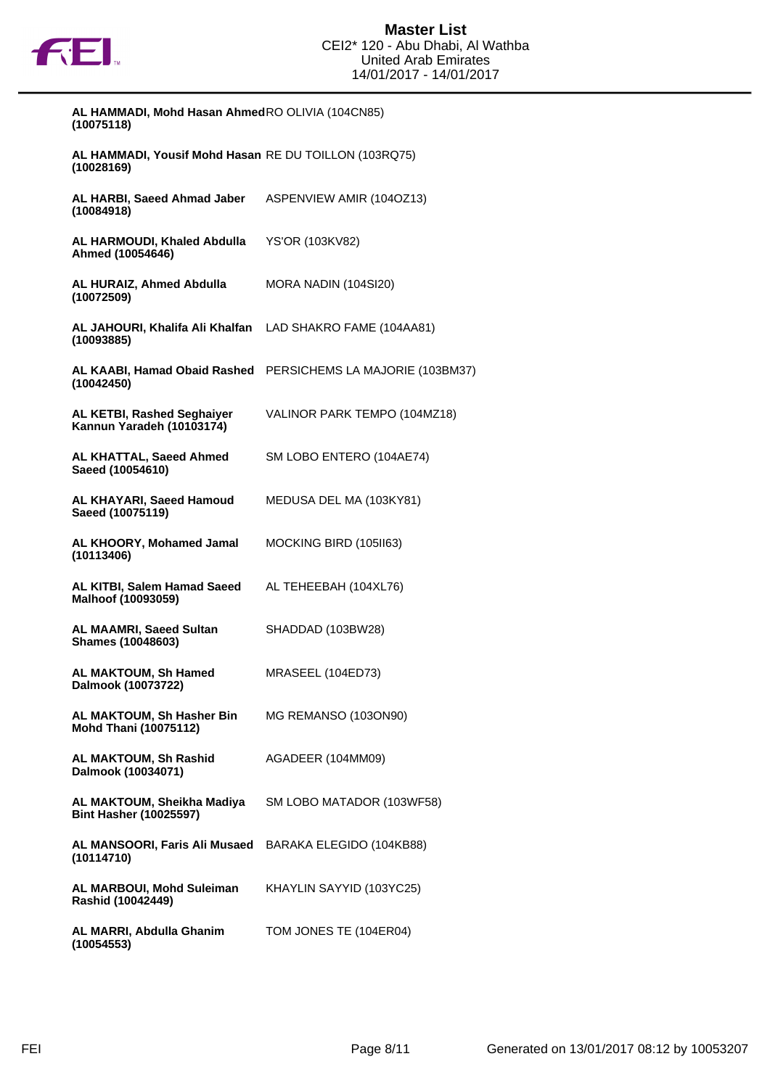

| AL HAMMADI, Mohd Hasan Ahmed RO OLIVIA (104CN85)<br>(10075118)          |                                                              |
|-------------------------------------------------------------------------|--------------------------------------------------------------|
| AL HAMMADI, Yousif Mohd Hasan RE DU TOILLON (103RQ75)<br>(10028169)     |                                                              |
| AL HARBI, Saeed Ahmad Jaber<br>(10084918)                               | ASPENVIEW AMIR (104OZ13)                                     |
| AL HARMOUDI, Khaled Abdulla<br>Ahmed (10054646)                         | <b>YS'OR (103KV82)</b>                                       |
| AL HURAIZ, Ahmed Abdulla<br>(10072509)                                  | MORA NADIN (104SI20)                                         |
| AL JAHOURI, Khalifa Ali Khalfan LAD SHAKRO FAME (104AA81)<br>(10093885) |                                                              |
| (10042450)                                                              | AL KAABI, Hamad Obaid Rashed PERSICHEMS LA MAJORIE (103BM37) |
| <b>AL KETBI, Rashed Seghaiyer</b><br>Kannun Yaradeh (10103174)          | VALINOR PARK TEMPO (104MZ18)                                 |
| AL KHATTAL, Saeed Ahmed<br>Saeed (10054610)                             | SM LOBO ENTERO (104AE74)                                     |
| AL KHAYARI, Saeed Hamoud<br>Saeed (10075119)                            | MEDUSA DEL MA (103KY81)                                      |
| AL KHOORY, Mohamed Jamal<br>(10113406)                                  | MOCKING BIRD (105II63)                                       |
| AL KITBI, Salem Hamad Saeed<br>Malhoof (10093059)                       | AL TEHEEBAH (104XL76)                                        |
| <b>AL MAAMRI, Saeed Sultan</b><br><b>Shames (10048603)</b>              | SHADDAD (103BW28)                                            |
| AL MAKTOUM, Sh Hamed<br>Dalmook (10073722)                              | MRASEEL (104ED73)                                            |
| AL MAKTOUM, Sh Hasher Bin<br><b>Mohd Thani (10075112)</b>               | MG REMANSO (103ON90)                                         |
| AL MAKTOUM, Sh Rashid<br>Dalmook (10034071)                             | AGADEER (104MM09)                                            |
| AL MAKTOUM, Sheikha Madiya<br><b>Bint Hasher (10025597)</b>             | SM LOBO MATADOR (103WF58)                                    |
| AL MANSOORI, Faris Ali Musaed BARAKA ELEGIDO (104KB88)<br>(10114710)    |                                                              |
| AL MARBOUI, Mohd Suleiman<br>Rashid (10042449)                          | KHAYLIN SAYYID (103YC25)                                     |
| AL MARRI, Abdulla Ghanim<br>(10054553)                                  | TOM JONES TE (104ER04)                                       |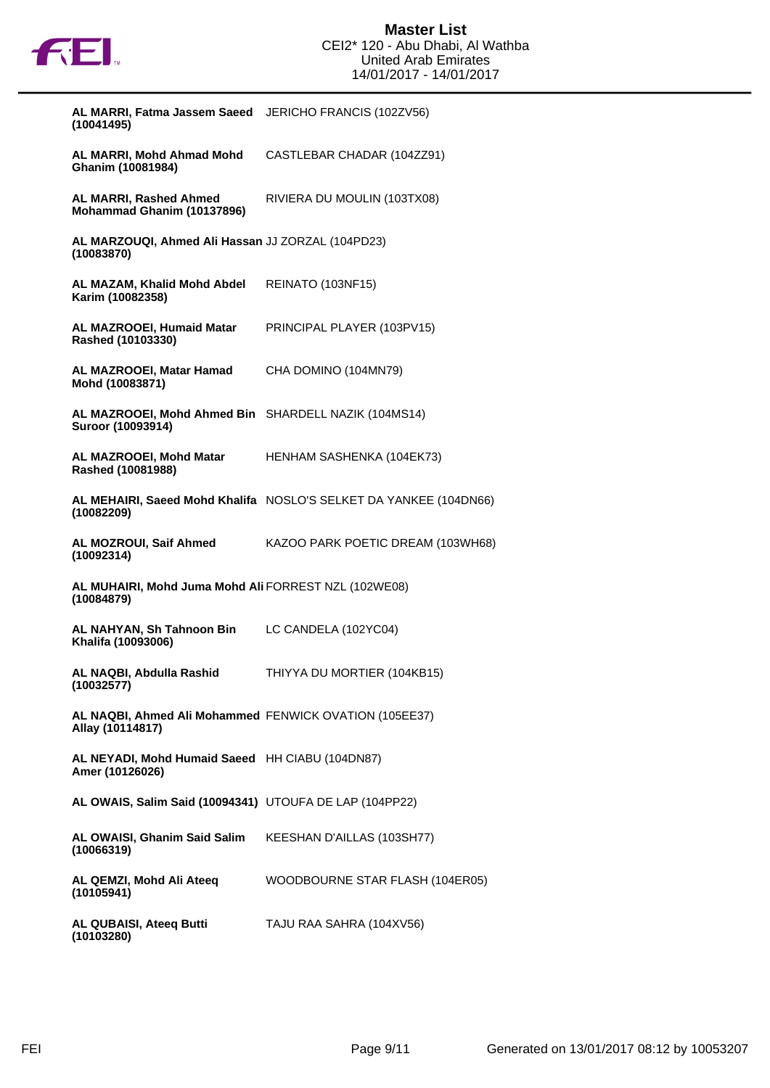

| AL MARRI, Fatma Jassem Saeed JERICHO FRANCIS (102ZV56)<br>(10041495)       |                                                                   |
|----------------------------------------------------------------------------|-------------------------------------------------------------------|
| AL MARRI, Mohd Ahmad Mohd<br>Ghanim (10081984)                             | CASTLEBAR CHADAR (104ZZ91)                                        |
| <b>AL MARRI, Rashed Ahmed</b><br>Mohammad Ghanim (10137896)                | RIVIERA DU MOULIN (103TX08)                                       |
| AL MARZOUQI, Ahmed Ali Hassan JJ ZORZAL (104PD23)<br>(10083870)            |                                                                   |
| AL MAZAM, Khalid Mohd Abdel<br>Karim (10082358)                            | REINATO (103NF15)                                                 |
| AL MAZROOEI, Humaid Matar<br>Rashed (10103330)                             | PRINCIPAL PLAYER (103PV15)                                        |
| AL MAZROOEI, Matar Hamad<br>Mohd (10083871)                                | CHA DOMINO (104MN79)                                              |
| AL MAZROOEI, Mohd Ahmed Bin SHARDELL NAZIK (104MS14)<br>Suroor (10093914)  |                                                                   |
| AL MAZROOEI, Mohd Matar<br>Rashed (10081988)                               | HENHAM SASHENKA (104EK73)                                         |
| (10082209)                                                                 | AL MEHAIRI, Saeed Mohd Khalifa NOSLO'S SELKET DA YANKEE (104DN66) |
| AL MOZROUI, Saif Ahmed<br>(10092314)                                       | KAZOO PARK POETIC DREAM (103WH68)                                 |
| AL MUHAIRI, Mohd Juma Mohd Ali FORREST NZL (102WE08)<br>(10084879)         |                                                                   |
| AL NAHYAN, Sh Tahnoon Bin<br>Khalifa (10093006)                            | LC CANDELA (102YC04)                                              |
| AL NAQBI, Abdulla Rashid<br>(10032577)                                     | THIYYA DU MORTIER (104KB15)                                       |
| AL NAQBI, Ahmed Ali Mohammed FENWICK OVATION (105EE37)<br>Allay (10114817) |                                                                   |
| AL NEYADI, Mohd Humaid Saeed HH CIABU (104DN87)<br>Amer (10126026)         |                                                                   |
| AL OWAIS, Salim Said (10094341) UTOUFA DE LAP (104PP22)                    |                                                                   |
| AL OWAISI, Ghanim Said Salim<br>(10066319)                                 | KEESHAN D'AILLAS (103SH77)                                        |
| AL QEMZI, Mohd Ali Ateeq<br>(10105941)                                     | WOODBOURNE STAR FLASH (104ER05)                                   |
| AL QUBAISI, Ateeq Butti<br>(10103280)                                      | TAJU RAA SAHRA (104XV56)                                          |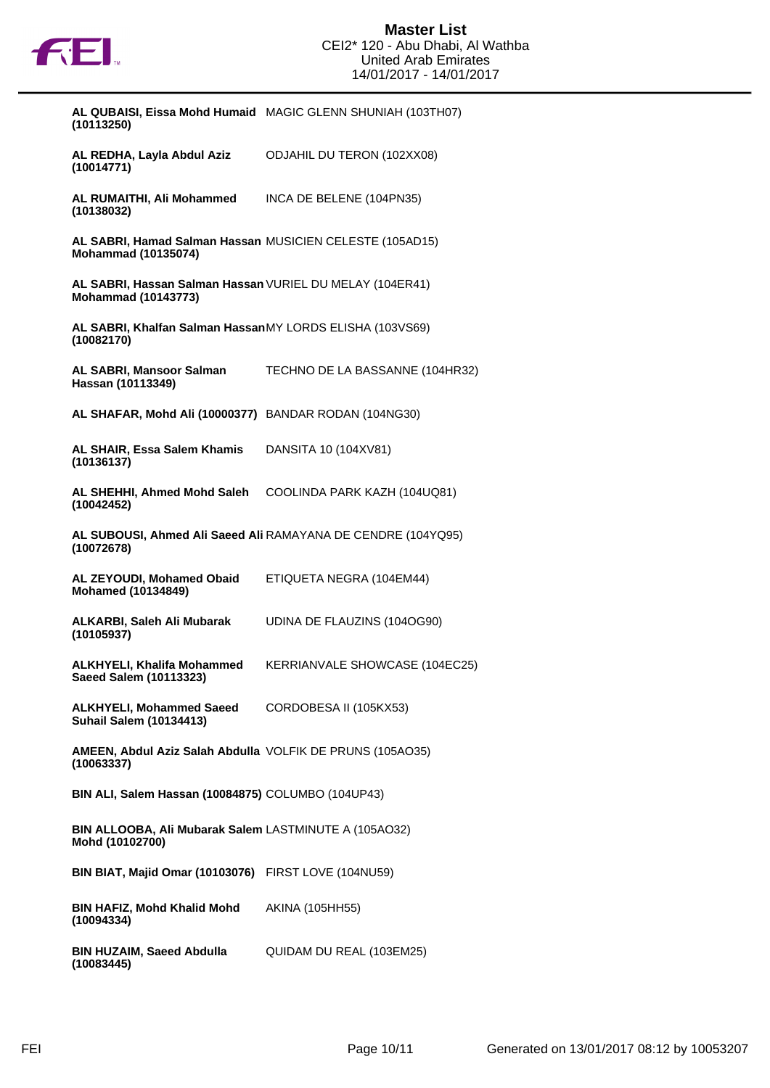

| (10113250)                                                                             | AL QUBAISI, Eissa Mohd Humaid MAGIC GLENN SHUNIAH (103TH07)  |
|----------------------------------------------------------------------------------------|--------------------------------------------------------------|
| AL REDHA, Layla Abdul Aziz<br>(10014771)                                               | <b>ODJAHIL DU TERON (102XX08)</b>                            |
| AL RUMAITHI, Ali Mohammed<br>(10138032)                                                | INCA DE BELENE (104PN35)                                     |
| AL SABRI, Hamad Salman Hassan MUSICIEN CELESTE (105AD15)<br><b>Mohammad (10135074)</b> |                                                              |
| AL SABRI, Hassan Salman Hassan VURIEL DU MELAY (104ER41)<br><b>Mohammad (10143773)</b> |                                                              |
| AL SABRI, Khalfan Salman HassanMY LORDS ELISHA (103VS69)<br>(10082170)                 |                                                              |
| <b>AL SABRI, Mansoor Salman</b><br>Hassan (10113349)                                   | TECHNO DE LA BASSANNE (104HR32)                              |
| AL SHAFAR, Mohd Ali (10000377) BANDAR RODAN (104NG30)                                  |                                                              |
| AL SHAIR, Essa Salem Khamis<br>(10136137)                                              | DANSITA 10 (104XV81)                                         |
| AL SHEHHI, Ahmed Mohd Saleh<br>(10042452)                                              | COOLINDA PARK KAZH (104UQ81)                                 |
| (10072678)                                                                             | AL SUBOUSI, Ahmed Ali Saeed Ali RAMAYANA DE CENDRE (104YQ95) |
| AL ZEYOUDI, Mohamed Obaid<br><b>Mohamed (10134849)</b>                                 | ETIQUETA NEGRA (104EM44)                                     |
| ALKARBI, Saleh Ali Mubarak<br>(10105937)                                               | UDINA DE FLAUZINS (104OG90)                                  |
| <b>ALKHYELI, Khalifa Mohammed</b><br>Saeed Salem (10113323)                            | KERRIANVALE SHOWCASE (104EC25)                               |
| <b>ALKHYELI, Mohammed Saeed</b><br><b>Suhail Salem (10134413)</b>                      | CORDOBESA II (105KX53)                                       |
| <b>AMEEN, Abdul Aziz Salah Abdulla VOLFIK DE PRUNS (105AO35)</b><br>(10063337)         |                                                              |
| BIN ALI, Salem Hassan (10084875) COLUMBO (104UP43)                                     |                                                              |
| BIN ALLOOBA, Ali Mubarak Salem LASTMINUTE A (105AO32)<br>Mohd (10102700)               |                                                              |
| <b>BIN BIAT, Majid Omar (10103076)</b> FIRST LOVE (104NU59)                            |                                                              |
| <b>BIN HAFIZ, Mohd Khalid Mohd</b><br>(10094334)                                       | AKINA (105HH55)                                              |
| <b>BIN HUZAIM, Saeed Abdulla</b>                                                       | QUIDAM DU REAL (103EM25)                                     |

**(10083445)**